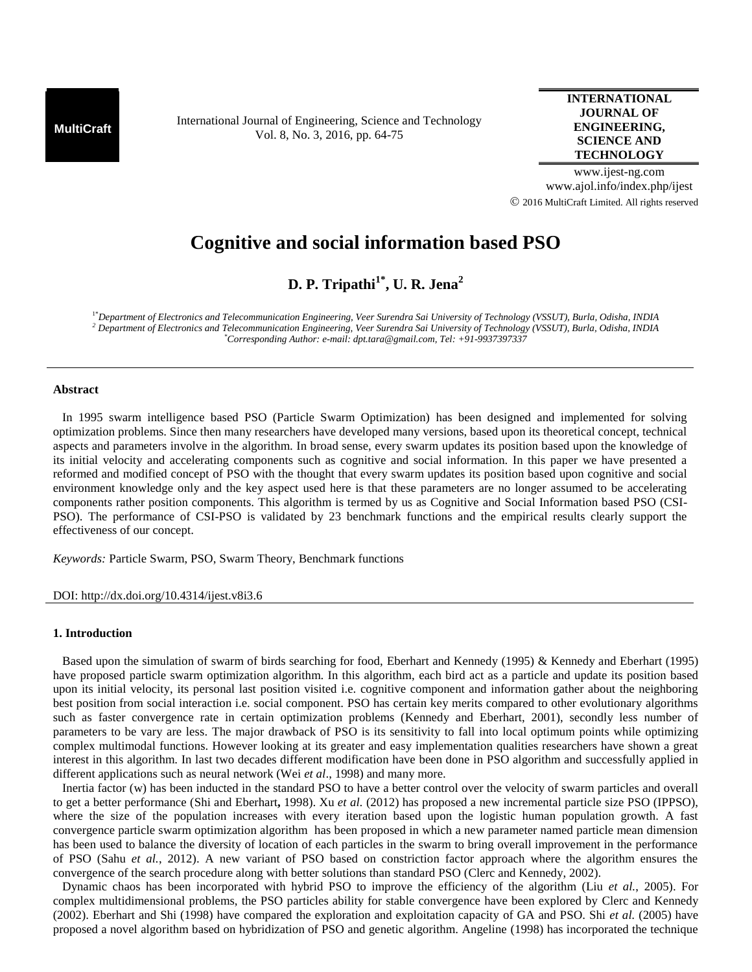**MultiCraft** International Journal of Engineering, Science and Technology Vol. 8, No. 3, 2016, pp. 64-75

## **INTERNATIONAL JOURNAL OF ENGINEERING, SCIENCE AND TECHNOLOGY**

www.ijest-ng.com www.ajol.info/index.php/ijest 2016 MultiCraft Limited. All rights reserved

# **Cognitive and social information based PSO**

**D. P. Tripathi1\*, U. R. Jena<sup>2</sup>**

1\**Department of Electronics and Telecommunication Engineering, Veer Surendra Sai University of Technology (VSSUT), Burla, Odisha, INDIA <sup>2</sup> Department of Electronics and Telecommunication Engineering, Veer Surendra Sai University of Technology (VSSUT), Burla, Odisha, INDIA \*Corresponding Author: e-mail: dpt.tara@gmail.com, Tel: +91-9937397337*

#### **Abstract**

In 1995 swarm intelligence based PSO (Particle Swarm Optimization) has been designed and implemented for solving optimization problems. Since then many researchers have developed many versions, based upon its theoretical concept, technical aspects and parameters involve in the algorithm. In broad sense, every swarm updates its position based upon the knowledge of its initial velocity and accelerating components such as cognitive and social information. In this paper we have presented a reformed and modified concept of PSO with the thought that every swarm updates its position based upon cognitive and social environment knowledge only and the key aspect used here is that these parameters are no longer assumed to be accelerating components rather position components. This algorithm is termed by us as Cognitive and Social Information based PSO (CSI- PSO). The performance of CSI-PSO is validated by 23 benchmark functions and the empirical results clearly support the effectiveness of our concept.

*Keywords:* Particle Swarm, PSO, Swarm Theory, Benchmark functions

#### DOI: http://dx.doi.org/10.4314/ijest.v8i3.6

#### **1. Introduction**

Based upon the simulation of swarm of birds searching for food, Eberhart and Kennedy (1995) & Kennedy and Eberhart (1995) have proposed particle swarm optimization algorithm. In this algorithm, each bird act as a particle and update its position based upon its initial velocity, its personal last position visited i.e. cognitive component and information gather about the neighboring best position from social interaction i.e. social component. PSO has certain key merits compared to other evolutionary algorithms such as faster convergence rate in certain optimization problems (Kennedy and Eberhart, 2001), secondly less number of parameters to be vary are less. The major drawback of PSO is its sensitivity to fall into local optimum points while optimizing complex multimodal functions. However looking at its greater and easy implementation qualities researchers have shown a great interest in this algorithm. In last two decades different modification have been done in PSO algorithm and successfully applied in different applications such as neural network (Wei *et al*., 1998) and many more.

Inertia factor (w) has been inducted in the standard PSO to have a better control over the velocity of swarm particles and overall to get a better performance (Shi and Eberhart**,** 1998). Xu *et al.* (2012) has proposed a new incremental particle size PSO (IPPSO), where the size of the population increases with every iteration based upon the logistic human population growth. A fast convergence particle swarm optimization algorithm has been proposed in which a new parameter named particle mean dimension has been used to balance the diversity of location of each particles in the swarm to bring overall improvement in the performance of PSO (Sahu *et al.*, 2012). A new variant of PSO based on constriction factor approach where the algorithm ensures the convergence of the search procedure along with better solutions than standard PSO (Clerc and Kennedy, 2002).

Dynamic chaos has been incorporated with hybrid PSO to improve the efficiency of the algorithm (Liu *et al.*, 2005). For complex multidimensional problems, the PSO particles ability for stable convergence have been explored by Clerc and Kennedy (2002). Eberhart and Shi (1998) have compared the exploration and exploitation capacity of GA and PSO. Shi *et al.* (2005) have proposed a novel algorithm based on hybridization of PSO and genetic algorithm. Angeline (1998) has incorporated the technique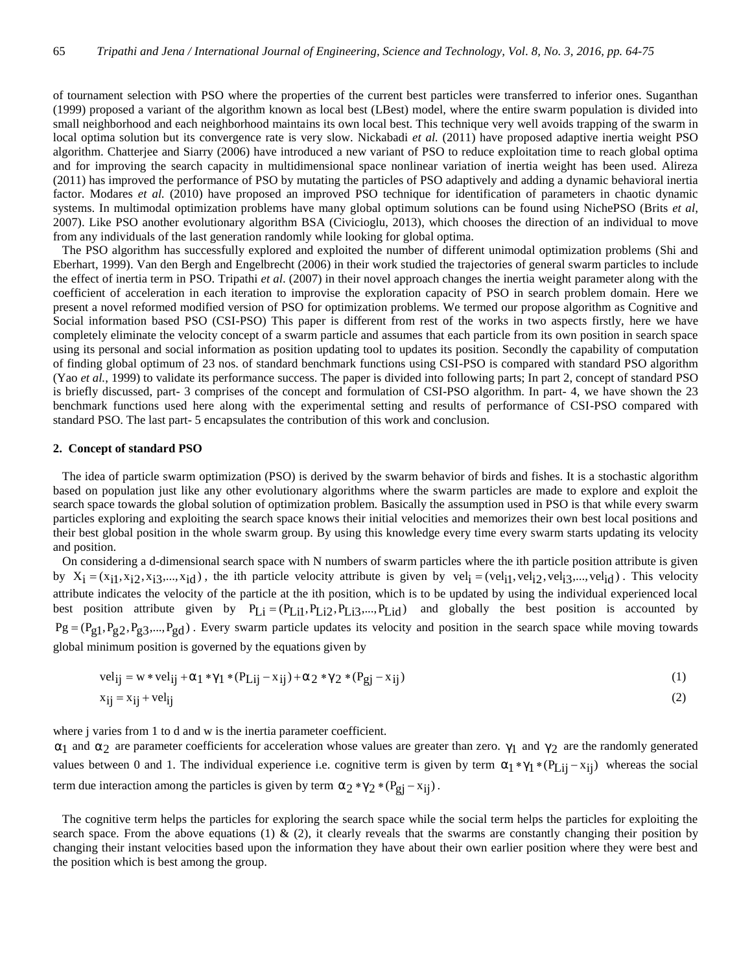of tournament selection with PSO where the properties of the current best particles were transferred to inferior ones. Suganthan (1999) proposed a variant of the algorithm known as local best (LBest) model, where the entire swarm population is divided into small neighborhood and each neighborhood maintains its own local best. This technique very well avoids trapping of the swarm in local optima solution but its convergence rate is very slow. Nickabadi *et al.* (2011) have proposed adaptive inertia weight PSO algorithm. Chatterjee and Siarry (2006) have introduced a new variant of PSO to reduce exploitation time to reach global optima and for improving the search capacity in multidimensional space nonlinear variation of inertia weight has been used. Alireza (2011) has improved the performance of PSO by mutating the particles of PSO adaptively and adding a dynamic behavioral inertia factor. Modares *et al.* (2010) have proposed an improved PSO technique for identification of parameters in chaotic dynamic systems. In multimodal optimization problems have many global optimum solutions can be found using NichePSO (Brits *et al*, 2007). Like PSO another evolutionary algorithm BSA (Civicioglu, 2013), which chooses the direction of an individual to move from any individuals of the last generation randomly while looking for global optima.

The PSO algorithm has successfully explored and exploited the number of different unimodal optimization problems (Shi and Eberhart, 1999). Van den Bergh and Engelbrecht (2006) in their work studied the trajectories of general swarm particles to include the effect of inertia term in PSO. Tripathi *et al*. (2007) in their novel approach changes the inertia weight parameter along with the coefficient of acceleration in each iteration to improvise the exploration capacity of PSO in search problem domain. Here we present a novel reformed modified version of PSO for optimization problems. We termed our propose algorithm as Cognitive and Social information based PSO (CSI-PSO) This paper is different from rest of the works in two aspects firstly, here we have completely eliminate the velocity concept of a swarm particle and assumes that each particle from its own position in search space using its personal and social information as position updating tool to updates its position. Secondly the capability of computation of finding global optimum of 23 nos. of standard benchmark functions using CSI-PSO is compared with standard PSO algorithm (Yao *et al.*, 1999) to validate its performance success. The paper is divided into following parts; In part 2, concept of standard PSO is briefly discussed, part- 3 comprises of the concept and formulation of CSI-PSO algorithm. In part- 4, we have shown the 23 benchmark functions used here along with the experimental setting and results of performance of CSI-PSO compared with standard PSO. The last part- 5 encapsulates the contribution of this work and conclusion.

#### **2. Concept of standard PSO**

The idea of particle swarm optimization (PSO) is derived by the swarm behavior of birds and fishes. It is a stochastic algorithm based on population just like any other evolutionary algorithms where the swarm particles are made to explore and exploit the search space towards the global solution of optimization problem. Basically the assumption used in PSO is that while every swarm particles exploring and exploiting the search space knows their initial velocities and memorizes their own best local positions and their best global position in the whole swarm group. By using this knowledge every time every swarm starts updating its velocity and position.

On considering a d-dimensional search space with N numbers of swarm particles where the ith particle position attribute is given by  $X_i = (x_{i1}, x_{i2}, x_{i3},...,x_{id})$ , the ith particle velocity attribute is given by  $vel_i = (vel_{i1}, vel_{i2}, vel_{i3},...,vel_{id})$ . This velocity attribute indicates the velocity of the particle at the ith position, which is to be updated by using the individual experienced local best position attribute given by  $P_{Li} = (P_{Li1}, P_{Li2}, P_{Li3},..., P_{Li1})$  and globally the best position is accounted by  $Pg = (P_{g1}, P_{g2}, P_{g3},..., P_{gd})$ . Every swarm particle updates its velocity and position in the search space while moving towards global minimum position is governed by the equations given by

$$
vel_{ij} = w * vel_{ij} + r_1 * x_1 * (P_{Lij} - x_{ij}) + r_2 * x_2 * (P_{gj} - x_{ij})
$$
\n(1)

$$
x_{ij} = x_{ij} + vel_{ij}
$$
 (2)

where j varies from 1 to d and w is the inertia parameter coefficient.

 $r_1$  and  $r_2$  are parameter coefficients for acceleration whose values are greater than zero.  $x_1$  and  $x_2$  are the randomly generated values between 0 and 1. The individual experience i.e. cognitive term is given by term  $\Gamma_1 * x_1 * (P_{Lij} - x_{ij})$  whereas the social term due interaction among the particles is given by term  $r_2 * x_2 * (P_{gj} - x_{ij})$ .

The cognitive term helps the particles for exploring the search space while the social term helps the particles for exploiting the search space. From the above equations (1)  $\&$  (2), it clearly reveals that the swarms are constantly changing their position by changing their instant velocities based upon the information they have about their own earlier position where they were best and the position which is best among the group.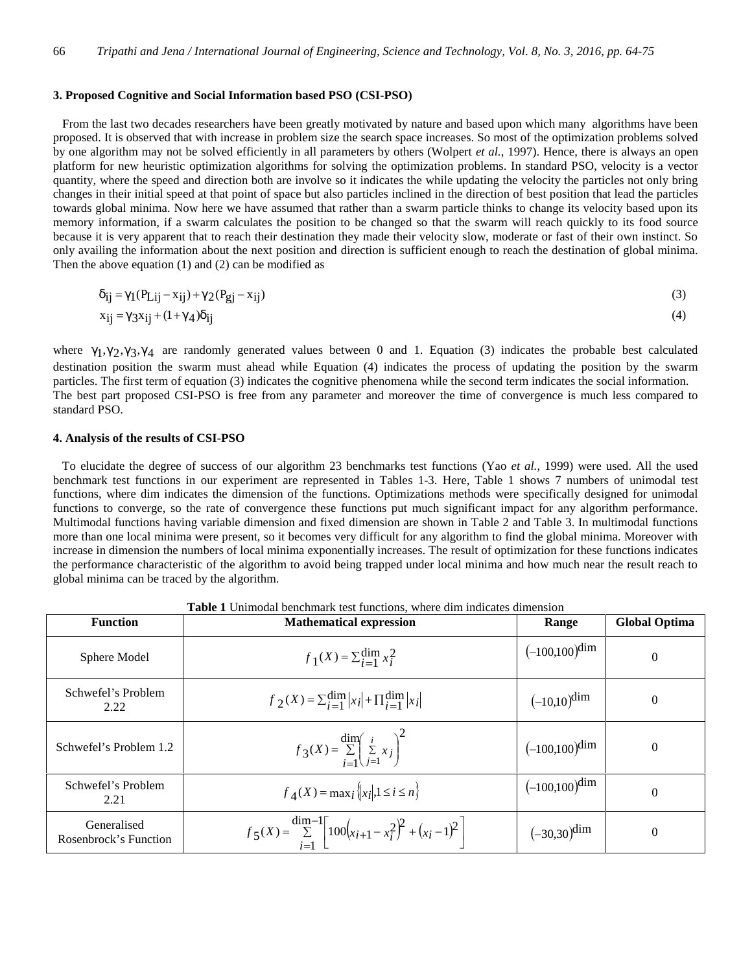## **3. Proposed Cognitive and Social Information based PSO (CSI-PSO)**

From the last two decades researchers have been greatly motivated by nature and based upon which many algorithms have been proposed. It is observed that with increase in problem size the search space increases. So most of the optimization problems solved by one algorithm may not be solved efficiently in all parameters by others (Wolpert *et al.*, 1997). Hence, there is always an open platform for new heuristic optimization algorithms for solving the optimization problems. In standard PSO, velocity is a vector quantity, where the speed and direction both are involve so it indicates the while updating the velocity the particles not only bring changes in their initial speed at that point of space but also particles inclined in the direction of best position that lead the particles towards global minima. Now here we have assumed that rather than a swarm particle thinks to change its velocity based upon its memory information, if a swarm calculates the position to be changed so that the swarm will reach quickly to its food source because it is very apparent that to reach their destination they made their velocity slow, moderate or fast of their own instinct. So only availing the information about the next position and direction is sufficient enough to reach the destination of global minima. Then the above equation (1) and (2) can be modified as

$$
u_{ij} = x_1(P_{Lij} - x_{ij}) + x_2(P_{gj} - x_{ij})
$$
\n<sup>(3)</sup>

$$
x_{ij} = x_3 x_{ij} + (1 + x_4) u_{ij}
$$
\n<sup>(4)</sup>

where  $x_1, x_2, x_3, x_4$  are randomly generated values between 0 and 1. Equation (3) indicates the probable best calculated destination position the swarm must ahead while Equation (4) indicates the process of updating the position by the swarm particles. The first term of equation (3) indicates the cognitive phenomena while the second term indicates the social information. The best part proposed CSI-PSO is free from any parameter and moreover the time of convergence is much less compared to standard PSO.

# **4. Analysis of the results of CSI-PSO**

To elucidate the degree of success of our algorithm 23 benchmarks test functions (Yao *et al.*, 1999) were used. All the used benchmark test functions in our experiment are represented in Tables 1-3. Here, Table 1 shows 7 numbers of unimodal test functions, where dim indicates the dimension of the functions. Optimizations methods were specifically designed for unimodal functions to converge, so the rate of convergence these functions put much significant impact for any algorithm performance. Multimodal functions having variable dimension and fixed dimension are shown in Table 2 and Table 3. In multimodal functions more than one local minima were present, so it becomes very difficult for any algorithm to find the global minima. Moreover with increase in dimension the numbers of local minima exponentially increases. The result of optimization for these functions indicates the performance characteristic of the algorithm to avoid being trapped under local minima and how much near the result reach to global minima can be traced by the algorithm.

| <b>Function</b>                      | <b>Mathematical expression</b>                                                                                 | Range            | <b>Global Optima</b> |
|--------------------------------------|----------------------------------------------------------------------------------------------------------------|------------------|----------------------|
| Sphere Model                         | $f_1(X) = \sum_{i=1}^{\dim} x_i^2$                                                                             | $(-100,100)$ dim | $\theta$             |
| Schwefel's Problem<br>2.22           | $f_2(X) = \sum_{i=1}^{\dim}  x_i  + \prod_{i=1}^{\dim}  x_i $                                                  | $(-10,10)$ dim   | $\Omega$             |
| Schwefel's Problem 1.2               | $f_3(X) = \sum_{i=1}^{\text{dim}} \left( \sum_{j=1}^i x_j \right)^2$                                           | $(-100,100)$ dim | $\theta$             |
| Schwefel's Problem<br>2.21           | $f_{\Delta}(X) = \max_{i} \{  x_i , 1 \leq i \leq n \}$                                                        | $(-100,100)$ dim | $\Omega$             |
| Generalised<br>Rosenbrock's Function | $f_5(X) = \sum_{i=1}^{\text{dim}-1} \left[ 100\left(x_{i+1} - x_i^2\right)^2 + \left(x_i - 1\right)^2 \right]$ | $(-30,30)$ dim   | $\theta$             |

| <b>Table 1</b> Unimodal benchmark test functions, where dim indicates dimension |  |
|---------------------------------------------------------------------------------|--|
|---------------------------------------------------------------------------------|--|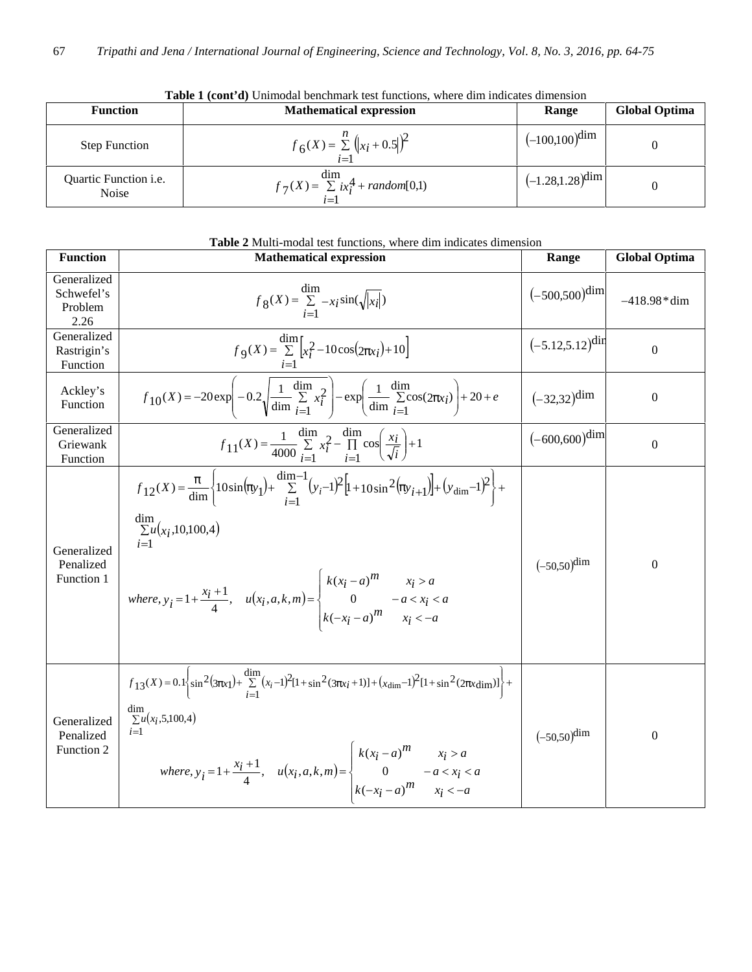| <b>Function</b>                              | <b>Mathematical expression</b>                                   | Range                 | Global Optima |
|----------------------------------------------|------------------------------------------------------------------|-----------------------|---------------|
| <b>Step Function</b>                         | $f_6(X) = \sum_{i=1}^{n} (x_i + 0.5)^2$                          | $(-100,100)$ dim      |               |
| Quartic Function <i>i.e.</i><br><b>Noise</b> | $f_7(X) = \frac{\dim}{\sum ix_i^4} + \text{random}[0,1]$<br>$i=$ | $(-1.28, 1.28)^{dim}$ |               |

**Table 1 (cont'd)** Unimodal benchmark test functions, where dim indicates dimension

| Table 2 Multi-modal test functions, where dim indicates dimension |                                                                                                                                                                                                                                                                                                                                                                                         |                      |                      |  |
|-------------------------------------------------------------------|-----------------------------------------------------------------------------------------------------------------------------------------------------------------------------------------------------------------------------------------------------------------------------------------------------------------------------------------------------------------------------------------|----------------------|----------------------|--|
| <b>Function</b>                                                   | <b>Mathematical expression</b>                                                                                                                                                                                                                                                                                                                                                          | Range                | <b>Global Optima</b> |  |
| Generalized<br>Schwefel's<br>Problem<br>2.26                      | $f_8(X) = \sum_{i=1}^{\text{dim}} -x_i \sin(\sqrt{ x_i })$                                                                                                                                                                                                                                                                                                                              | $(-500,500)$ dim     | $-418.98*dim$        |  |
| Generalized<br>Rastrigin's<br>Function                            | $f_{9}(X) = \sum_{i=1}^{\dim} [x_i^2 - 10\cos(2f_{xi}) + 10]$                                                                                                                                                                                                                                                                                                                           | $(-5.12,5.12)^{dir}$ | $\boldsymbol{0}$     |  |
| Ackley's<br>Function                                              | $f_{10}(X) = -20 \exp \left(-0.2 \sqrt{\frac{1}{\dim} \sum_{i=1}^{1} x_i^2}\right) - \exp \left(\frac{1}{\dim} \sum_{i=1}^{1} \cos(2f_{xi})\right) + 20 + e$                                                                                                                                                                                                                            | $(-32,32)^{\dim}$    | $\boldsymbol{0}$     |  |
| Generalized<br>Griewank<br>Function                               | $f_{11}(X) = \frac{1}{4000} \sum_{i=1}^{\text{dim}} x_i^2 - \prod_{i=1}^{\text{dim}} \cos\left(\frac{x_i}{\sqrt{i}}\right) + 1$                                                                                                                                                                                                                                                         | $(-600,600)$ dim     | $\boldsymbol{0}$     |  |
| Generalized<br>Penalized<br>Function 1                            | $f_{12}(X) = \frac{f}{\text{dim}} \left\{ 10 \sin(f_{y_1}) + \sum_{i=1}^{\text{dim}-1} (y_i-1)^2 \left[ 1 + 10 \sin^2(f_{y_i+1}) \right] + (y_{\text{dim}}-1)^2 \right\} +$<br>dim<br>$\sum u(x_i, 10, 100, 4)$<br>where, $y_i = 1 + \frac{x_i + 1}{4}$ , $u(x_i, a, k, m) = \begin{cases} k(x_i - a)^m & x_i > a \\ 0 & -a < x_i < a \\ k(-x_i - a)^m & x_i < -a \end{cases}$          | $(-50,50)^{\dim}$    | $\boldsymbol{0}$     |  |
| Generalized<br>Penalized<br>Function 2                            | $f_{13}(X) = 0.1 \left\{ \sin^2(3f_{X1}) + \sum_{i=1}^{\text{dim}} (x_i - 1)^2 [1 + \sin^2(3f_{Xi} + 1)] + (x_{\text{dim}} - 1)^2 [1 + \sin^2(2f_{X\text{dim}})] \right\} +$<br>$\lim_{\sum u(x_i, 5, 100, 4)}$<br>$i=1$<br>where, $y_i = 1 + \frac{x_i + 1}{4}$ , $u(x_i, a, k, m) = \begin{cases} k(x_i - a)^m & x_i > a \\ 0 & -a < x_i < a \\ k(-x_i - a)^m & x_i < -a \end{cases}$ | $(-50,50)^{\dim}$    | $\boldsymbol{0}$     |  |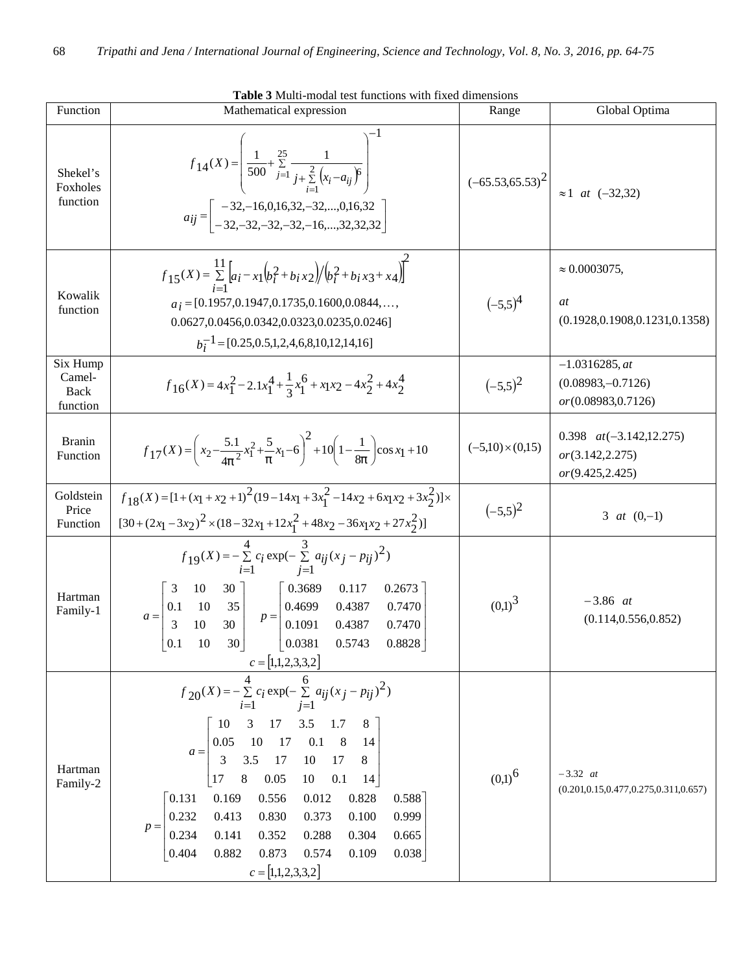| Function                               | Mathematical expression                                                                                                                                                                                                                                                                                                                                                                                                                                                                                                           | Range                   | Global Optima                                                       |  |
|----------------------------------------|-----------------------------------------------------------------------------------------------------------------------------------------------------------------------------------------------------------------------------------------------------------------------------------------------------------------------------------------------------------------------------------------------------------------------------------------------------------------------------------------------------------------------------------|-------------------------|---------------------------------------------------------------------|--|
| Shekel's<br>Foxholes<br>function       | $f_{14}(X) = \left  \frac{1}{500} + \sum_{j=1}^{25} \frac{1}{j + \sum_{i=1}^{2} (x_i - a_{ij})^6} \right $<br>$a_{ij} = \begin{bmatrix} -32,-16,0,16,32,-32,,0,16,32 \\ -32,-32,-32,-32,-16,,32,32,32 \end{bmatrix}$                                                                                                                                                                                                                                                                                                              |                         | $(-65.53,65.53)^{2}$ $\approx$ 1 at $(-32,32)$                      |  |
| Kowalik<br>function                    | $f_{15}(X) = \sum_{i=1}^{11} \left[ a_i - x_1 \left( b_i^2 + b_i x_2 \right) / \left( b_i^2 + b_i x_3 + x_4 \right) \right]$<br>$a_i = [0.1957, 0.1947, 0.1735, 0.1600, 0.0844, \dots,$<br>0.0627,0.0456,0.0342,0.0323,0.0235,0.0246]<br>$b_i^{-1}$ = [0.25,0.5,1,2,4,6,8,10,12,14,16]                                                                                                                                                                                                                                            | $(-5,5)^4$              | $\approx 0.0003075$ ,<br>at<br>(0.1928, 0.1908, 0.1231, 0.1358)     |  |
| Six Hump<br>Camel-<br>Back<br>function | $f_{16}(X) = 4x_1^2 - 2.1x_1^4 + \frac{1}{3}x_1^6 + x_1x_2 - 4x_2^2 + 4x_2^4$                                                                                                                                                                                                                                                                                                                                                                                                                                                     |                         | $-1.0316285, at$<br>$(0.08983,-0.7126)$<br>or (0.08983, 0.7126)     |  |
| <b>Branin</b><br>Function              | $f_{17}(X) = \left(x_2 - \frac{5.1}{4f^2}x_1^2 + \frac{5}{f}x_1 - 6\right)^2 + 10\left(1 - \frac{1}{8f}\right)\cos x_1 + 10$                                                                                                                                                                                                                                                                                                                                                                                                      | $(-5,10) \times (0,15)$ | 0.398 $at(-3.142,12.275)$<br>or (3.142, 2.275)<br>or (9.425, 2.425) |  |
| Goldstein<br>Price<br>Function         | $f_{18}(X) = [1 + (x_1 + x_2 + 1)^2 (19 - 14x_1 + 3x_1^2 - 14x_2 + 6x_1x_2 + 3x_2^2)] \times$<br>$[30 + (2x_1 - 3x_2)^2 \times (18 - 32x_1 + 12x_1^2 + 48x_2 - 36x_1x_2 + 27x_2^2)]$                                                                                                                                                                                                                                                                                                                                              | $(-5,5)^2$              | 3 <i>at</i> $(0,-1)$                                                |  |
| Hartman<br>Family-1                    | $f_{19}(X) = -\sum_{i=1}^{4} c_i \exp(-\sum_{j=1}^{3} a_{ij}(x_j - p_{ij})^2)$<br>  0.3689<br>$10 \t 30$<br>0.117<br>0.2673<br>$a = \begin{vmatrix} 0.1 & 10 & 35 \\ 3 & 10 & 30 \end{vmatrix}$ $p = \begin{vmatrix} 0.00037 \\ 0.4699 \\ 0.1091 \end{vmatrix}$<br>0.4387<br>0.7470<br>0.4387<br>0.7470<br>0.0381<br>$\left[0.1\right]$<br>30 <sup>1</sup><br>0.5743<br>10<br>0.8828<br>$c = [1,1,2,3,3,2]$                                                                                                                       | $(0,1)^3$               | $-3.86$ at<br>(0.114, 0.556, 0.852)                                 |  |
| Hartman<br>Family-2                    | 4<br>6<br>$f_{20}(X) = -\sum_{i} c_i \exp(-\sum_{i} a_{ij}(x_j - p_{ij})^2)$<br>$i=1$<br>$j=1$<br>17<br>3<br>$3.5$<br>10<br>1.7<br>8<br>17<br>0.1<br>10<br>8 <sup>8</sup><br>0.05<br>14<br>$a =$<br>10<br>3.5<br>17<br>17<br>8<br>3<br>0.1<br>0.05<br>10<br>17<br>8<br>14<br>0.131<br>0.169<br>0.012<br>0.828<br>0.588<br>0.556<br>0.100<br>0.999<br>0.413<br>0.830<br>0.373<br>0.232<br>$p =$<br>0.234<br>0.141<br>0.352<br>0.288<br>0.304<br>0.665<br>0.404<br>0.873<br>0.574<br>0.109<br>0.038<br>0.882<br>$c = [1,1,2,3,3,2]$ | $(0,1)^6$               | $-3.32$ at<br>$(0.201, 0.15, 0.477, 0.275, 0.311, 0.657)$           |  |

**Table 3** Multi-modal test functions with fixed dimensions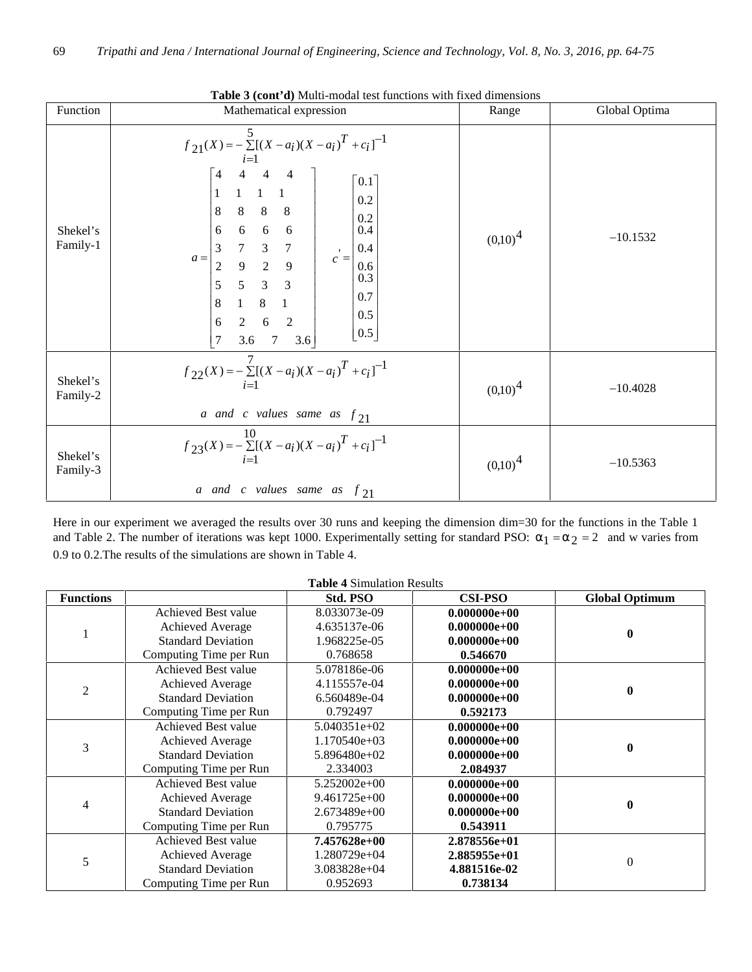| Function             | <b>Tuble 5</b> ( <b>Colle a)</b> intuite modul toot 1<br>Mathematical expression                                                                                                                                                                                                                                                                                                                                                                                                                                                                                                                                                     | Range      | Global Optima |
|----------------------|--------------------------------------------------------------------------------------------------------------------------------------------------------------------------------------------------------------------------------------------------------------------------------------------------------------------------------------------------------------------------------------------------------------------------------------------------------------------------------------------------------------------------------------------------------------------------------------------------------------------------------------|------------|---------------|
| Shekel's<br>Family-1 | $f_{21}(X) = -\sum_{i=1}^{5} [(X - a_i)(X - a_i)^T + c_i]^{-1}$<br>$\begin{array}{cccc} 4 & 4 & 4 \\ 1 & 1 & 1 \end{array}$<br>$\overline{4}$<br>$\lceil 0.1 \rceil$<br>0.2<br>$\,8\,$<br>8<br>$\,8\,$<br>$\,8\,$<br>$0.2\,$<br>$6\overline{6}$<br>6<br>0.4<br>6<br>$6\,$<br>$\begin{array}{ccc} 7 & 3 & 7 \\ 9 & 2 & 9 \end{array}$<br>$\mathfrak 3$<br>0.4<br>$\blacksquare$<br>$a =$<br>$c =$<br>$\overline{c}$<br>0.6<br>0.3<br>5<br>5<br>$\overline{3}$<br>$\overline{3}$<br>0.7<br>$8\,$<br>8<br>0.5<br>$6\quad 2$<br>$\overline{2}$<br>$\sqrt{6}$<br>$\lfloor 0.5 \rfloor$<br>$\overline{7}$<br>$7\overline{ }$<br>3.6<br>3.6 | $(0,10)^4$ | $-10.1532$    |
| Shekel's<br>Family-2 | $f_{22}(X) = -\sum_{i=1}^{I} [(X - a_i)(X - a_i)^T + c_i]^{-1}$<br>a and c values same as $f_{21}$                                                                                                                                                                                                                                                                                                                                                                                                                                                                                                                                   | $(0,10)^4$ | $-10.4028$    |
| Shekel's<br>Family-3 | $f_{23}(X) = -\sum^{10} [(X-a_i)(X-a_i)^T + c_i]^{-1}$<br>$i=1$<br>a and c values same as $f_{21}$                                                                                                                                                                                                                                                                                                                                                                                                                                                                                                                                   | $(0,10)^4$ | $-10.5363$    |

**Table 3 (cont'd)** Multi-modal test functions with fixed dimensions

Here in our experiment we averaged the results over 30 runs and keeping the dimension dim=30 for the functions in the Table 1 and Table 2. The number of iterations was kept 1000. Experimentally setting for standard PSO:  $r_1 = r_2 = 2$  and w varies from 0.9 to 0.2.The results of the simulations are shown in Table 4.

|                  |                           | <b>Table 4 Simulation Results</b> |                |                       |  |
|------------------|---------------------------|-----------------------------------|----------------|-----------------------|--|
| <b>Functions</b> |                           | Std. PSO                          | <b>CSI-PSO</b> | <b>Global Optimum</b> |  |
|                  | Achieved Best value       | 8.033073e-09                      | $0.000000e+00$ |                       |  |
|                  | Achieved Average          | 4.635137e-06                      | $0.000000e+00$ |                       |  |
|                  | <b>Standard Deviation</b> | 1.968225e-05                      | $0.000000e+00$ |                       |  |
|                  | Computing Time per Run    | 0.768658                          | 0.546670       |                       |  |
|                  | Achieved Best value       | 5.078186e-06                      | $0.000000e+00$ |                       |  |
| $\overline{2}$   | Achieved Average          | 4.115557e-04                      | $0.000000e+00$ |                       |  |
|                  | <b>Standard Deviation</b> | 6.560489e-04                      | $0.000000e+00$ | 0                     |  |
|                  | Computing Time per Run    | 0.792497                          | 0.592173       |                       |  |
|                  | Achieved Best value       | $5.040351e+02$                    | $0.000000e+00$ | 0                     |  |
| 3                | Achieved Average          | $1.170540e+03$                    | $0.000000e+00$ |                       |  |
|                  | <b>Standard Deviation</b> | $5.896480e+02$                    | $0.000000e+00$ |                       |  |
|                  | Computing Time per Run    | 2.334003                          | 2.084937       |                       |  |
|                  | Achieved Best value       | $5.252002e+00$                    | $0.000000e+00$ |                       |  |
|                  | <b>Achieved Average</b>   | $9.461725e+00$                    | $0.000000e+00$ |                       |  |
| 4                | <b>Standard Deviation</b> | $2.673489e+00$                    | $0.000000e+00$ |                       |  |
|                  | Computing Time per Run    | 0.795775                          | 0.543911       |                       |  |
| 5                | Achieved Best value       | 7.457628e+00                      | $2.878556e+01$ |                       |  |
|                  | Achieved Average          | 1.280729e+04                      | 2.885955e+01   |                       |  |
|                  | <b>Standard Deviation</b> | $3.083828e+04$                    | 4.881516e-02   | 0                     |  |
|                  | Computing Time per Run    | 0.952693                          | 0.738134       |                       |  |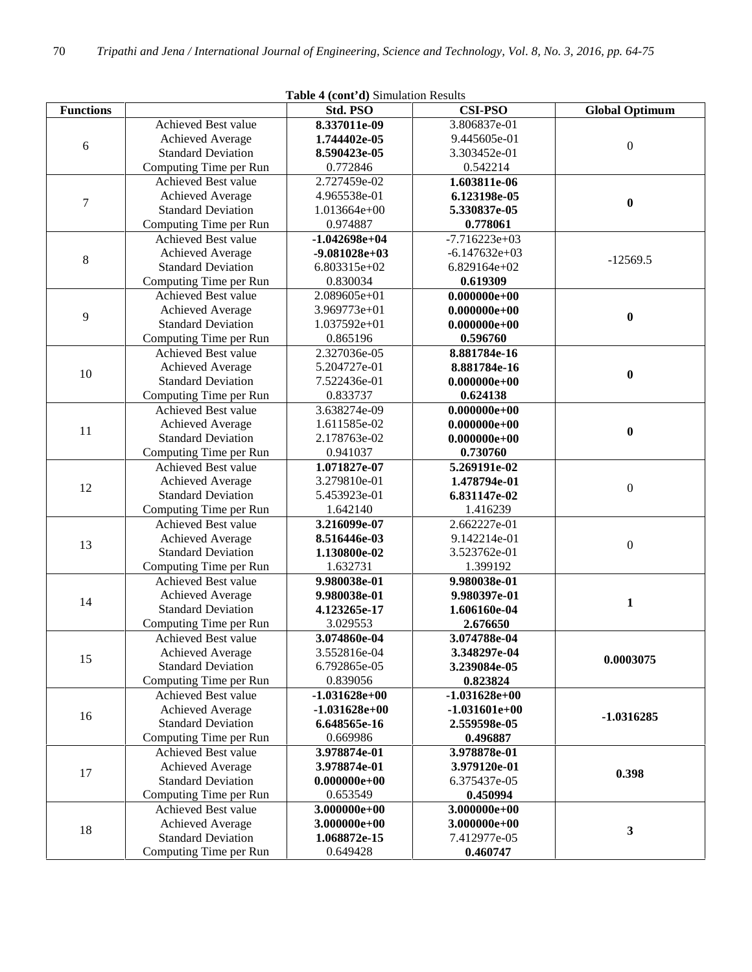| Table 4 (cont'd) Simulation Results |                            |                 |                 |                       |  |  |
|-------------------------------------|----------------------------|-----------------|-----------------|-----------------------|--|--|
| <b>Functions</b>                    |                            | Std. PSO        | <b>CSI-PSO</b>  | <b>Global Optimum</b> |  |  |
|                                     | Achieved Best value        | 8.337011e-09    | 3.806837e-01    |                       |  |  |
| 6                                   | Achieved Average           | 1.744402e-05    | 9.445605e-01    | $\boldsymbol{0}$      |  |  |
|                                     | <b>Standard Deviation</b>  | 8.590423e-05    | 3.303452e-01    |                       |  |  |
|                                     | Computing Time per Run     | 0.772846        | 0.542214        |                       |  |  |
|                                     | Achieved Best value        | 2.727459e-02    | 1.603811e-06    |                       |  |  |
| $\tau$                              | Achieved Average           | 4.965538e-01    | 6.123198e-05    | $\bf{0}$              |  |  |
|                                     | <b>Standard Deviation</b>  | 1.013664e+00    | 5.330837e-05    |                       |  |  |
|                                     | Computing Time per Run     | 0.974887        | 0.778061        |                       |  |  |
|                                     | Achieved Best value        | $-1.042698e+04$ | $-7.716223e+03$ |                       |  |  |
| $8\,$                               | Achieved Average           | $-9.081028e+03$ | $-6.147632e+03$ | $-12569.5$            |  |  |
|                                     | <b>Standard Deviation</b>  | 6.803315e+02    | 6.829164e+02    |                       |  |  |
|                                     | Computing Time per Run     | 0.830034        | 0.619309        |                       |  |  |
|                                     | <b>Achieved Best value</b> | 2.089605e+01    | $0.000000e+00$  |                       |  |  |
| 9                                   | Achieved Average           | 3.969773e+01    | $0.000000e+00$  | $\bf{0}$              |  |  |
|                                     | <b>Standard Deviation</b>  | 1.037592e+01    | $0.000000e+00$  |                       |  |  |
|                                     | Computing Time per Run     | 0.865196        | 0.596760        |                       |  |  |
|                                     | Achieved Best value        | 2.327036e-05    | 8.881784e-16    |                       |  |  |
| 10                                  | Achieved Average           | 5.204727e-01    | 8.881784e-16    | $\bf{0}$              |  |  |
|                                     | <b>Standard Deviation</b>  | 7.522436e-01    | $0.000000e+00$  |                       |  |  |
|                                     | Computing Time per Run     | 0.833737        | 0.624138        |                       |  |  |
|                                     | Achieved Best value        | 3.638274e-09    | $0.000000e+00$  |                       |  |  |
| 11                                  | Achieved Average           | 1.611585e-02    | $0.000000e+00$  | $\boldsymbol{0}$      |  |  |
|                                     | <b>Standard Deviation</b>  | 2.178763e-02    | $0.000000e+00$  |                       |  |  |
|                                     | Computing Time per Run     | 0.941037        | 0.730760        |                       |  |  |
|                                     | Achieved Best value        | 1.071827e-07    | 5.269191e-02    |                       |  |  |
| 12                                  | Achieved Average           | 3.279810e-01    | 1.478794e-01    | $\boldsymbol{0}$      |  |  |
|                                     | <b>Standard Deviation</b>  | 5.453923e-01    | 6.831147e-02    |                       |  |  |
|                                     | Computing Time per Run     | 1.642140        | 1.416239        |                       |  |  |
|                                     | Achieved Best value        | 3.216099e-07    | 2.662227e-01    |                       |  |  |
| 13                                  | Achieved Average           | 8.516446e-03    | 9.142214e-01    | $\boldsymbol{0}$      |  |  |
|                                     | <b>Standard Deviation</b>  | 1.130800e-02    | 3.523762e-01    |                       |  |  |
|                                     | Computing Time per Run     | 1.632731        | 1.399192        |                       |  |  |
|                                     | Achieved Best value        | 9.980038e-01    | 9.980038e-01    |                       |  |  |
| 14                                  | Achieved Average           | 9.980038e-01    | 9.980397e-01    | 1                     |  |  |
|                                     | <b>Standard Deviation</b>  | 4.123265e-17    | 1.606160e-04    |                       |  |  |
|                                     | Computing Time per Run     | 3.029553        | 2.676650        |                       |  |  |
|                                     | Achieved Best value        | 3.074860e-04    | 3.074788e-04    |                       |  |  |
| 15                                  | Achieved Average           | 3.552816e-04    | 3.348297e-04    | 0.0003075             |  |  |
|                                     | <b>Standard Deviation</b>  | 6.792865e-05    | 3.239084e-05    |                       |  |  |
|                                     | Computing Time per Run     | 0.839056        | 0.823824        |                       |  |  |
|                                     | Achieved Best value        | $-1.031628e+00$ | $-1.031628e+00$ |                       |  |  |
| 16                                  | Achieved Average           | $-1.031628e+00$ | $-1.031601e+00$ | $-1.0316285$          |  |  |
|                                     | <b>Standard Deviation</b>  | 6.648565e-16    | 2.559598e-05    |                       |  |  |
|                                     | Computing Time per Run     | 0.669986        | 0.496887        |                       |  |  |
|                                     | Achieved Best value        | 3.978874e-01    | 3.978878e-01    |                       |  |  |
| 17                                  | Achieved Average           | 3.978874e-01    | 3.979120e-01    | 0.398                 |  |  |
|                                     | <b>Standard Deviation</b>  | $0.000000e+00$  | 6.375437e-05    |                       |  |  |
|                                     | Computing Time per Run     | 0.653549        | 0.450994        |                       |  |  |
|                                     | Achieved Best value        | $3.000000e+00$  | 3.000000e+00    |                       |  |  |
| 18                                  | Achieved Average           | $3.000000e+00$  | 3.000000e+00    | 3                     |  |  |
|                                     | <b>Standard Deviation</b>  | 1.068872e-15    | 7.412977e-05    |                       |  |  |
|                                     | Computing Time per Run     | 0.649428        | 0.460747        |                       |  |  |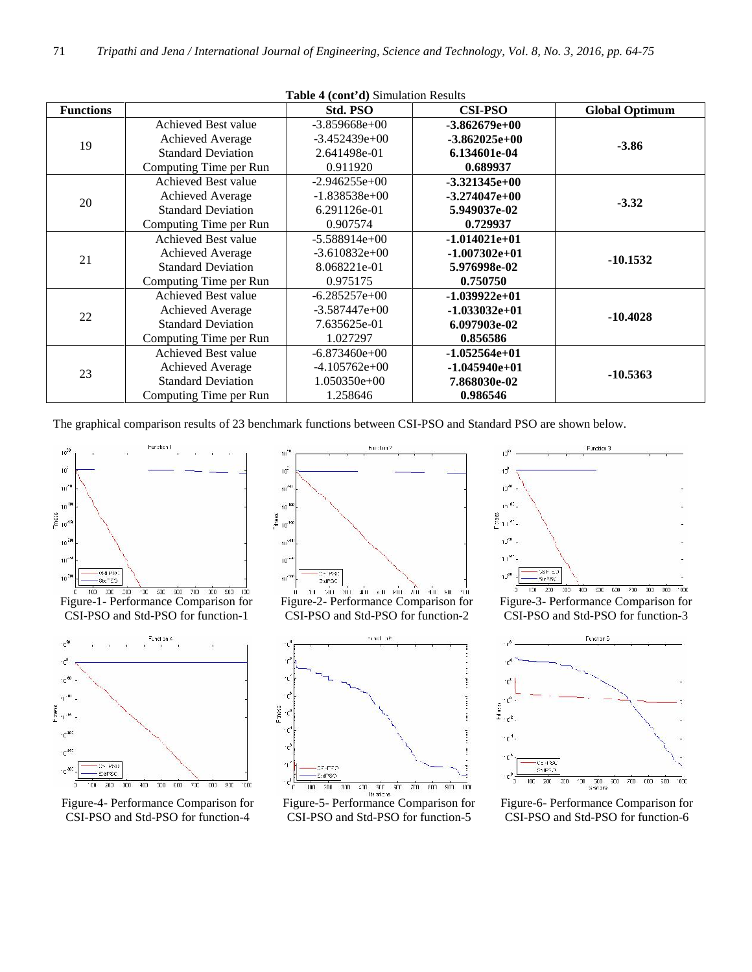**Table 4 (cont'd)** Simulation Results

| <b>Functions</b> |                           | Std. PSO        | <b>CSI-PSO</b>  | <b>Global Optimum</b> |
|------------------|---------------------------|-----------------|-----------------|-----------------------|
|                  | Achieved Best value       | $-3.859668e+00$ | $-3.862679e+00$ |                       |
| 19               | Achieved Average          | $-3.452439e+00$ | $-3.862025e+00$ | $-3.86$               |
|                  | <b>Standard Deviation</b> | 2.641498e-01    | 6.134601e-04    |                       |
|                  | Computing Time per Run    | 0.911920        | 0.689937        |                       |
|                  | Achieved Best value       | $-2.946255e+00$ | $-3.321345e+00$ |                       |
|                  | Achieved Average          | $-1.838538e+00$ | $-3.274047e+00$ |                       |
| 20               | <b>Standard Deviation</b> | 6.291126e-01    | 5.949037e-02    | $-3.32$               |
|                  | Computing Time per Run    | 0.907574        | 0.729937        |                       |
|                  | Achieved Best value       | $-5.588914e+00$ | $-1.014021e+01$ |                       |
| 21               | Achieved Average          | $-3.610832e+00$ | $-1.007302e+01$ |                       |
|                  | <b>Standard Deviation</b> | 8.068221e-01    | 5.976998e-02    | $-10.1532$            |
|                  | Computing Time per Run    | 0.975175        | 0.750750        |                       |
|                  | Achieved Best value       | $-6.285257e+00$ | $-1.039922e+01$ |                       |
|                  | <b>Achieved Average</b>   | $-3.587447e+00$ | $-1.033032e+01$ |                       |
| 22               | <b>Standard Deviation</b> | 7.635625e-01    | 6.097903e-02    | $-10.4028$            |
|                  | Computing Time per Run    | 1.027297        | 0.856586        |                       |
| 23               | Achieved Best value       | $-6.873460e+00$ | $-1.052564e+01$ |                       |
|                  | Achieved Average          | $-4.105762e+00$ | $-1.045940e+01$ |                       |
|                  | <b>Standard Deviation</b> | $1.050350e+00$  | 7.868030e-02    | $-10.5363$            |
|                  | Computing Time per Run    | 1.258646        | 0.986546        |                       |

The graphical comparison results of 23 benchmark functions between CSI-PSO and Standard PSO are shown below.



Figure-1- Performance Comparison for CSI-PSO and Std-PSO for function-1



Figure-4- Performance Comparison for CSI-PSO and Std-PSO for function-4



CSI-PSO and Std-PSO for function-2



Figure-5- Performance Comparison for CSI-PSO and Std-PSO for function-5



Figure-3- Performance Comparison for CSI-PSO and Std-PSO for function-3



Figure-6- Performance Comparison for CSI-PSO and Std-PSO for function-6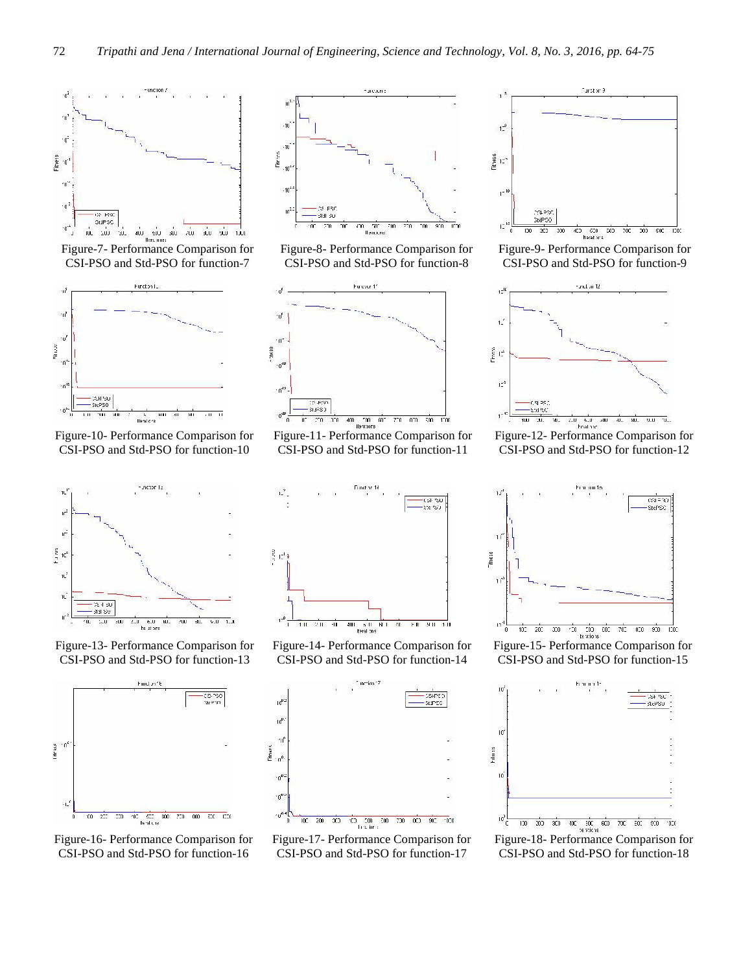

Figure-7- Performance Comparison for CSI-PSO and Std-PSO for function-7



Figure-10- Performance Comparison for CSI-PSO and Std-PSO for function-10



Figure-13- Performance Comparison for CSI-PSO and Std-PSO for function-13



Figure-16- Performance Comparison for CSI-PSO and Std-PSO for function-16



Figure-8- Performance Comparison for CSI-PSO and Std-PSO for function-8



Figure-11- Performance Comparison for CSI-PSO and Std-PSO for function-11



Figure-14- Performance Comparison for CSI-PSO and Std-PSO for function-14



CSI-PSO and Std-PSO for function-17



Figure-9- Performance Comparison for CSI-PSO and Std-PSO for function-9



Figure-12- Performance Comparison for CSI-PSO and Std-PSO for function-12



Figure-15- Performance Comparison for CSI-PSO and Std-PSO for function-15



Figure-18- Performance Comparison for CSI-PSO and Std-PSO for function-18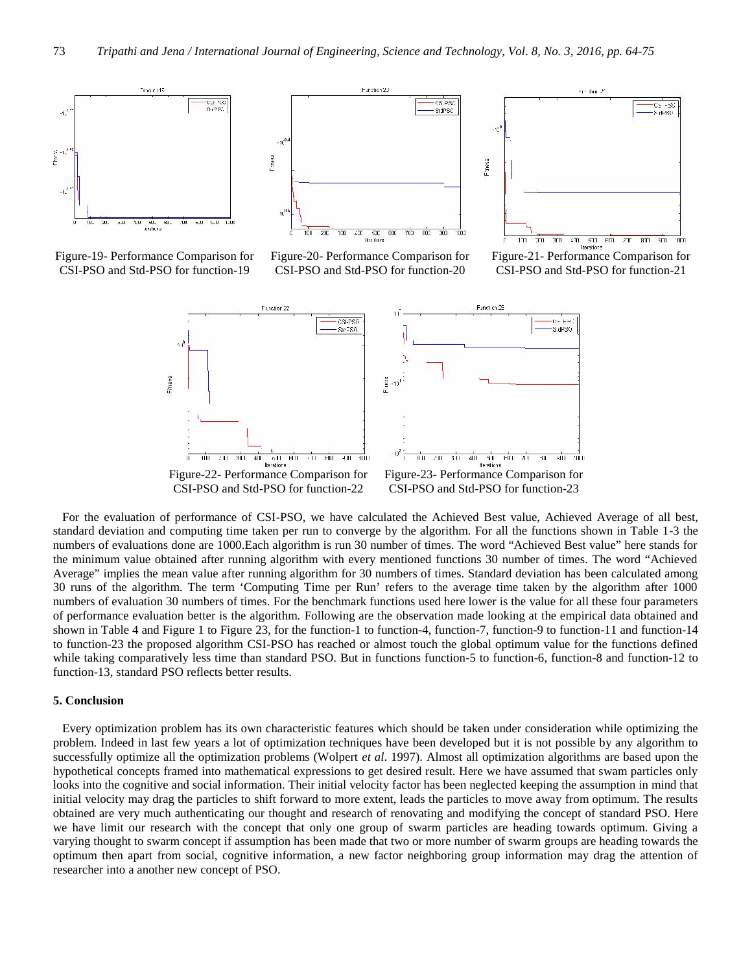

Figure-19- Performance Comparison for CSI-PSO and Std-PSO for function-19



Figure-20- Performance Comparison for CSI-PSO and Std-PSO for function-20



Figure-21- Performance Comparison for CSI-PSO and Std-PSO for function-21



For the evaluation of performance of CSI-PSO, we have calculated the Achieved Best value, Achieved Average of all best, standard deviation and computing time taken per run to converge by the algorithm. For all the functions shown in Table 1-3 the numbers of evaluations done are 1000.Each algorithm is run 30 number of times. The word "Achieved Best value" here stands for the minimum value obtained after running algorithm with every mentioned functions 30 number of times. The word "Achieved Average" implies the mean value after running algorithm for 30 numbers of times. Standard deviation has been calculated among 30 runs of the algorithm. The term 'Computing Time per Run' refers to the average time taken by the algorithm after 1000 numbers of evaluation 30 numbers of times. For the benchmark functions used here lower is the value for all these four parameters of performance evaluation better is the algorithm. Following are the observation made looking at the empirical data obtained and shown in Table 4 and Figure 1 to Figure 23, for the function-1 to function-4, function-7, function-9 to function-11 and function-14 to function-23 the proposed algorithm CSI-PSO has reached or almost touch the global optimum value for the functions defined while taking comparatively less time than standard PSO. But in functions function-5 to function-6, function-8 and function-12 to function-13, standard PSO reflects better results.

### **5. Conclusion**

Every optimization problem has its own characteristic features which should be taken under consideration while optimizing the problem. Indeed in last few years a lot of optimization techniques have been developed but it is not possible by any algorithm to successfully optimize all the optimization problems (Wolpert *et al*. 1997). Almost all optimization algorithms are based upon the hypothetical concepts framed into mathematical expressions to get desired result. Here we have assumed that swam particles only looks into the cognitive and social information. Their initial velocity factor has been neglected keeping the assumption in mind that initial velocity may drag the particles to shift forward to more extent, leads the particles to move away from optimum. The results obtained are very much authenticating our thought and research of renovating and modifying the concept of standard PSO. Here we have limit our research with the concept that only one group of swarm particles are heading towards optimum. Giving a varying thought to swarm concept if assumption has been made that two or more number of swarm groups are heading towards the optimum then apart from social, cognitive information, a new factor neighboring group information may drag the attention of researcher into a another new concept of PSO.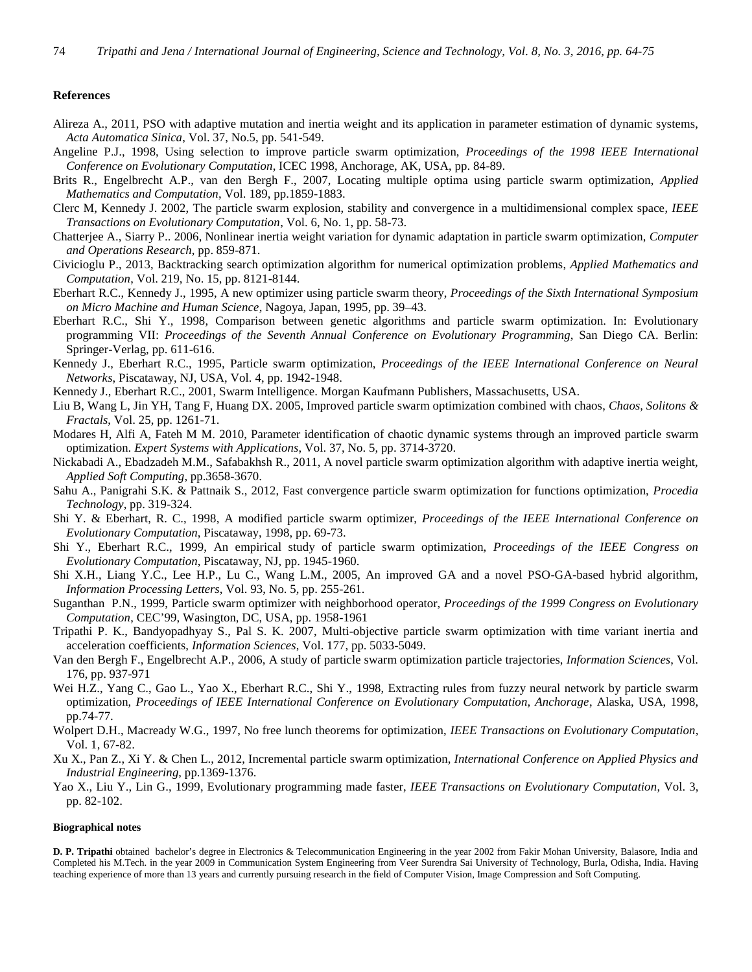#### **References**

- Alireza A., 2011, PSO with adaptive mutation and inertia weight and its application in parameter estimation of dynamic systems, *Acta Automatica Sinica*, Vol. 37, No.5, pp. 541-549.
- Angeline P.J., 1998, Using selection to improve particle swarm optimization, *Proceedings of the 1998 IEEE International Conference on Evolutionary Computation*, ICEC 1998, Anchorage, AK, USA, pp. 84-89.
- Brits R., Engelbrecht A.P., van den Bergh F., 2007, Locating multiple optima using particle swarm optimization, *Applied Mathematics and Computation*, Vol. 189, pp.1859-1883.
- Clerc M, Kennedy J. 2002, The particle swarm explosion, stability and convergence in a multidimensional complex space, *IEEE Transactions on Evolutionary Computation*, Vol. 6, No. 1, pp. 58-73.
- Chatterjee A., Siarry P.. 2006, Nonlinear inertia weight variation for dynamic adaptation in particle swarm optimization, *Computer and Operations Research*, pp. 859-871.
- Civicioglu P., 2013, Backtracking search optimization algorithm for numerical optimization problems, *Applied Mathematics and Computation*, Vol. 219, No. 15, pp. 8121-8144.
- Eberhart R.C., Kennedy J., 1995, A new optimizer using particle swarm theory, *Proceedings of the Sixth International Symposium on Micro Machine and Human Science*, Nagoya, Japan, 1995, pp. 39–43.
- Eberhart R.C., Shi Y., 1998, Comparison between genetic algorithms and particle swarm optimization. In: Evolutionary programming VII: *Proceedings of the Seventh Annual Conference on Evolutionary Programming*, San Diego CA. Berlin: Springer-Verlag, pp. 611-616.
- Kennedy J., Eberhart R.C., 1995, Particle swarm optimization, *Proceedings of the IEEE International Conference on Neural Networks*, Piscataway, NJ, USA, Vol. 4, pp. 1942-1948.
- Kennedy J., Eberhart R.C., 2001, Swarm Intelligence. Morgan Kaufmann Publishers, Massachusetts, USA.
- Liu B, Wang L, Jin YH, Tang F, Huang DX. 2005, Improved particle swarm optimization combined with chaos, *Chaos, Solitons & Fractals*, Vol. 25, pp. 1261-71.
- Modares H, Alfi A, Fateh M M. 2010, Parameter identification of chaotic dynamic systems through an improved particle swarm optimization. *Expert Systems with Applications*, Vol. 37, No. 5, pp. 3714-3720.
- Nickabadi A., Ebadzadeh M.M., Safabakhsh R., 2011, A novel particle swarm optimization algorithm with adaptive inertia weight, *Applied Soft Computing*, pp.3658-3670.
- Sahu A., Panigrahi S.K. & Pattnaik S., 2012, Fast convergence particle swarm optimization for functions optimization, *Procedia Technology*, pp. 319-324.
- Shi Y. & Eberhart, R. C., 1998, A modified particle swarm optimizer, *Proceedings of the IEEE International Conference on Evolutionary Computation*, Piscataway, 1998, pp. 69-73.
- Shi Y., Eberhart R.C., 1999, An empirical study of particle swarm optimization, *Proceedings of the IEEE Congress on Evolutionary Computation*, Piscataway, NJ, pp. 1945-1960.
- Shi X.H., Liang Y.C., Lee H.P., Lu C., Wang L.M., 2005, An improved GA and a novel PSO-GA-based hybrid algorithm, *Information Processing Letters*, Vol. 93, No. 5, pp. 255-261.
- Suganthan P.N., 1999, Particle swarm optimizer with neighborhood operator, *Proceedings of the 1999 Congress on Evolutionary Computation*, CEC'99, Wasington, DC, USA, pp. 1958-1961
- Tripathi P. K., Bandyopadhyay S., Pal S. K. 2007, Multi-objective particle swarm optimization with time variant inertia and acceleration coefficients, *Information Sciences*, Vol. 177, pp. 5033-5049.
- Van den Bergh F., Engelbrecht A.P., 2006, A study of particle swarm optimization particle trajectories, *Information Sciences*, Vol. 176, pp. 937-971
- Wei H.Z., Yang C., Gao L., Yao X., Eberhart R.C., Shi Y., 1998, Extracting rules from fuzzy neural network by particle swarm optimization, *Proceedings of IEEE International Conference on Evolutionary Computation, Anchorage*, Alaska, USA, 1998, pp.74-77.
- Wolpert D.H., Macready W.G., 1997, No free lunch theorems for optimization, *IEEE Transactions on Evolutionary Computation,* Vol. 1, 67-82.
- Xu X., Pan Z., Xi Y. & Chen L., 2012, Incremental particle swarm optimization, *International Conference on Applied Physics and Industrial Engineering*, pp.1369-1376.
- Yao X., Liu Y., Lin G., 1999, Evolutionary programming made faster, *IEEE Transactions on Evolutionary Computation*, Vol. 3, pp. 82-102.

#### **Biographical notes**

**D. P. Tripathi** obtained bachelor's degree in Electronics & Telecommunication Engineering in the year 2002 from Fakir Mohan University, Balasore, India and Completed his M.Tech. in the year 2009 in Communication System Engineering from Veer Surendra Sai University of Technology, Burla, Odisha, India. Having teaching experience of more than 13 years and currently pursuing research in the field of Computer Vision, Image Compression and Soft Computing.